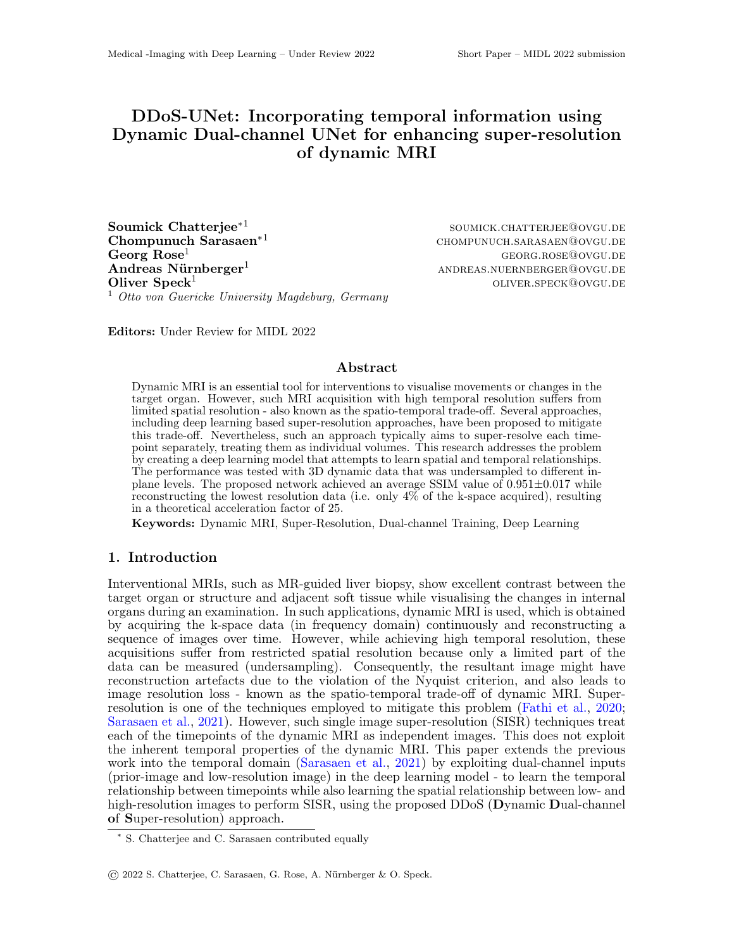# DDoS-UNet: Incorporating temporal information using Dynamic Dual-channel UNet for enhancing super-resolution of dynamic MRI

Soumick Chatterjee∗<sup>1</sup> Chompunuch Sarasaen<sup>∗1</sup> chompunuch.sarasaen@ovgu.de  $\text{Georg} \text{ Rose}^1$  georg.rose@ovgu.de Andreas N¨urnberger<sup>1</sup> andreas.nuernberger@ovgu.de **Oliver Speck<sup>1</sup>** oliver.speck@ovgu.de  $1$  Otto von Guericke University Magdeburg, Germany

soumick.chatterjee@ovgu.de

Editors: Under Review for MIDL 2022

## Abstract

Dynamic MRI is an essential tool for interventions to visualise movements or changes in the target organ. However, such MRI acquisition with high temporal resolution suffers from limited spatial resolution - also known as the spatio-temporal trade-off. Several approaches, including deep learning based super-resolution approaches, have been proposed to mitigate this trade-off. Nevertheless, such an approach typically aims to super-resolve each timepoint separately, treating them as individual volumes. This research addresses the problem by creating a deep learning model that attempts to learn spatial and temporal relationships. The performance was tested with 3D dynamic data that was undersampled to different inplane levels. The proposed network achieved an average SSIM value of  $0.951 \pm 0.017$  while reconstructing the lowest resolution data (i.e. only  $4\%$  of the k-space acquired), resulting in a theoretical acceleration factor of 25.

Keywords: Dynamic MRI, Super-Resolution, Dual-channel Training, Deep Learning

#### 1. Introduction

Interventional MRIs, such as MR-guided liver biopsy, show excellent contrast between the target organ or structure and adjacent soft tissue while visualising the changes in internal organs during an examination. In such applications, dynamic MRI is used, which is obtained by acquiring the k-space data (in frequency domain) continuously and reconstructing a sequence of images over time. However, while achieving high temporal resolution, these acquisitions suffer from restricted spatial resolution because only a limited part of the data can be measured (undersampling). Consequently, the resultant image might have reconstruction artefacts due to the violation of the Nyquist criterion, and also leads to image resolution loss - known as the spatio-temporal trade-off of dynamic MRI. Superresolution is one of the techniques employed to mitigate this problem [\(Fathi et al.,](#page-2-0) [2020;](#page-2-0) [Sarasaen et al.,](#page-2-1) [2021\)](#page-2-1). However, such single image super-resolution (SISR) techniques treat each of the timepoints of the dynamic MRI as independent images. This does not exploit the inherent temporal properties of the dynamic MRI. This paper extends the previous work into the temporal domain [\(Sarasaen et al.,](#page-2-1) [2021\)](#page-2-1) by exploiting dual-channel inputs (prior-image and low-resolution image) in the deep learning model - to learn the temporal relationship between timepoints while also learning the spatial relationship between low- and high-resolution images to perform SISR, using the proposed DDoS (Dynamic Dual-channel of Super-resolution) approach.

© 2022 S. Chatterjee, C. Sarasaen, G. Rose, A. N¨urnberger & O. Speck.

<sup>∗</sup> S. Chatterjee and C. Sarasaen contributed equally